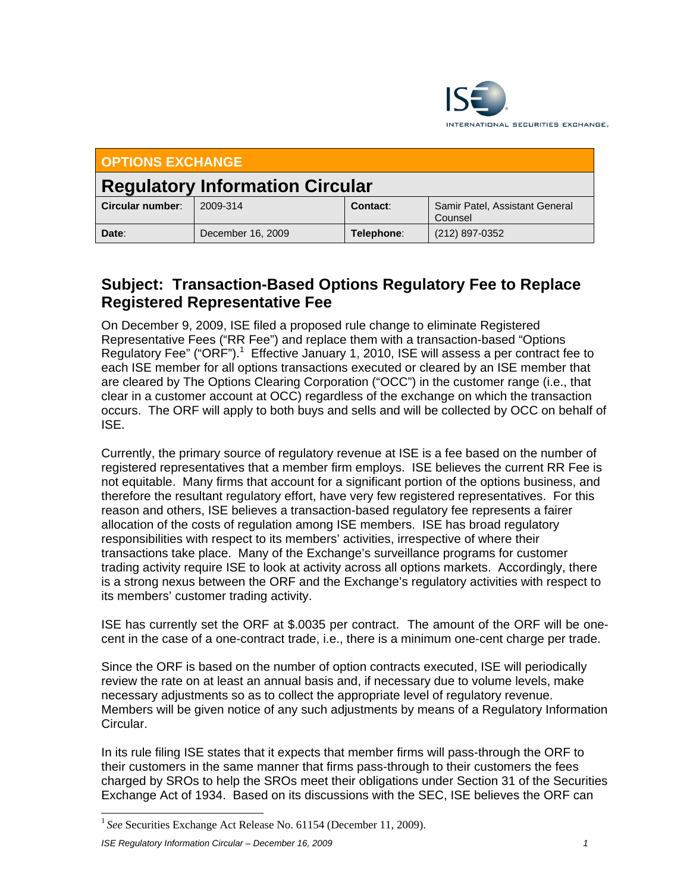

| OPTIONS EXCHANGE                       |                   |            |                                           |
|----------------------------------------|-------------------|------------|-------------------------------------------|
| <b>Regulatory Information Circular</b> |                   |            |                                           |
| Circular number:                       | 2009-314          | Contact:   | Samir Patel, Assistant General<br>Counsel |
| Date:                                  | December 16, 2009 | Telephone: | (212) 897-0352                            |

## **Subject: Transaction-Based Options Regulatory Fee to Replace Registered Representative Fee**

On December 9, 2009, ISE filed a proposed rule change to eliminate Registered Representative Fees ("RR Fee") and replace them with a transaction-based "Options Regulatory Fee" ("ORF").<sup>1</sup> Effective January 1, 2010, ISE will assess a per contract fee to each ISE member for all options transactions executed or cleared by an ISE member that are cleared by The Options Clearing Corporation ("OCC") in the customer range (i.e., that clear in a customer account at OCC) regardless of the exchange on which the transaction occurs. The ORF will apply to both buys and sells and will be collected by OCC on behalf of ISE.

Currently, the primary source of regulatory revenue at ISE is a fee based on the number of registered representatives that a member firm employs. ISE believes the current RR Fee is not equitable. Many firms that account for a significant portion of the options business, and therefore the resultant regulatory effort, have very few registered representatives. For this reason and others, ISE believes a transaction-based regulatory fee represents a fairer allocation of the costs of regulation among ISE members. ISE has broad regulatory responsibilities with respect to its members' activities, irrespective of where their transactions take place. Many of the Exchange's surveillance programs for customer trading activity require ISE to look at activity across all options markets. Accordingly, there is a strong nexus between the ORF and the Exchange's regulatory activities with respect to its members' customer trading activity.

ISE has currently set the ORF at \$.0035 per contract. The amount of the ORF will be onecent in the case of a one-contract trade, i.e., there is a minimum one-cent charge per trade.

Since the ORF is based on the number of option contracts executed, ISE will periodically review the rate on at least an annual basis and, if necessary due to volume levels, make necessary adjustments so as to collect the appropriate level of regulatory revenue. Members will be given notice of any such adjustments by means of a Regulatory Information Circular.

In its rule filing ISE states that it expects that member firms will pass-through the ORF to their customers in the same manner that firms pass-through to their customers the fees charged by SROs to help the SROs meet their obligations under Section 31 of the Securities Exchange Act of 1934. Based on its discussions with the SEC, ISE believes the ORF can

*ISE Regulatory Information Circular – December 16, 2009 1*

 $\overline{a}$ 

<sup>&</sup>lt;sup>1</sup> See Securities Exchange Act Release No. 61154 (December 11, 2009).